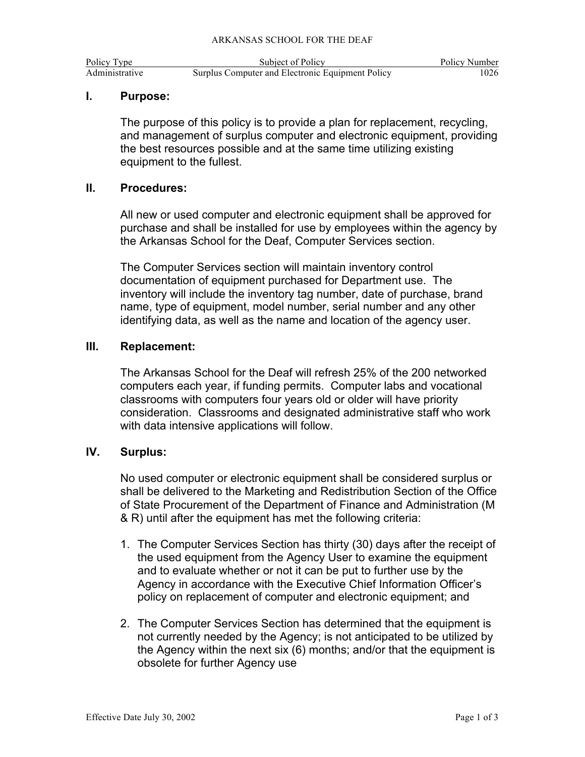| Policy Type    |
|----------------|
| Administrative |

## **I. Purpose:**

The purpose of this policy is to provide a plan for replacement, recycling, and management of surplus computer and electronic equipment, providing the best resources possible and at the same time utilizing existing equipment to the fullest.

### **II. Procedures:**

All new or used computer and electronic equipment shall be approved for purchase and shall be installed for use by employees within the agency by the Arkansas School for the Deaf, Computer Services section.

The Computer Services section will maintain inventory control documentation of equipment purchased for Department use. The inventory will include the inventory tag number, date of purchase, brand name, type of equipment, model number, serial number and any other identifying data, as well as the name and location of the agency user.

### **III. Replacement:**

The Arkansas School for the Deaf will refresh 25% of the 200 networked computers each year, if funding permits. Computer labs and vocational classrooms with computers four years old or older will have priority consideration. Classrooms and designated administrative staff who work with data intensive applications will follow.

## **IV. Surplus:**

No used computer or electronic equipment shall be considered surplus or shall be delivered to the Marketing and Redistribution Section of the Office of State Procurement of the Department of Finance and Administration (M & R) until after the equipment has met the following criteria:

- 1. The Computer Services Section has thirty (30) days after the receipt of the used equipment from the Agency User to examine the equipment and to evaluate whether or not it can be put to further use by the Agency in accordance with the Executive Chief Information Officer's policy on replacement of computer and electronic equipment; and
- 2. The Computer Services Section has determined that the equipment is not currently needed by the Agency; is not anticipated to be utilized by the Agency within the next six (6) months; and/or that the equipment is obsolete for further Agency use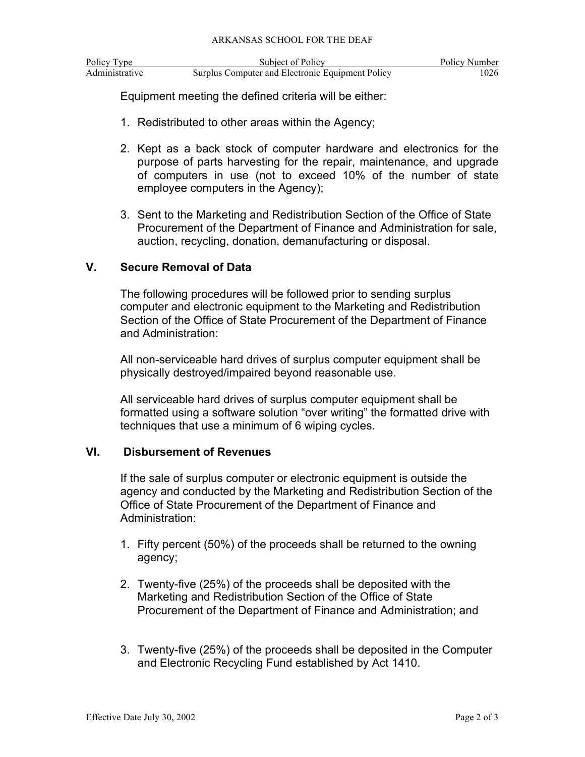| Policy Type    | Subject of Policy                                | Policy Number |
|----------------|--------------------------------------------------|---------------|
| Administrative | Surplus Computer and Electronic Equipment Policy | 1026          |

Equipment meeting the defined criteria will be either:

- 1. Redistributed to other areas within the Agency;
- 2. Kept as a back stock of computer hardware and electronics for the purpose of parts harvesting for the repair, maintenance, and upgrade of computers in use (not to exceed 10% of the number of state employee computers in the Agency);
- 3. Sent to the Marketing and Redistribution Section of the Office of State Procurement of the Department of Finance and Administration for sale, auction, recycling, donation, demanufacturing or disposal.

### **V. Secure Removal of Data**

The following procedures will be followed prior to sending surplus computer and electronic equipment to the Marketing and Redistribution Section of the Office of State Procurement of the Department of Finance and Administration:

All non-serviceable hard drives of surplus computer equipment shall be physically destroyed/impaired beyond reasonable use.

All serviceable hard drives of surplus computer equipment shall be formatted using a software solution "over writing" the formatted drive with techniques that use a minimum of 6 wiping cycles.

#### **VI. Disbursement of Revenues**

If the sale of surplus computer or electronic equipment is outside the agency and conducted by the Marketing and Redistribution Section of the Office of State Procurement of the Department of Finance and Administration:

- 1. Fifty percent (50%) of the proceeds shall be returned to the owning agency;
- 2. Twenty-five (25%) of the proceeds shall be deposited with the Marketing and Redistribution Section of the Office of State Procurement of the Department of Finance and Administration; and
- 3. Twenty-five (25%) of the proceeds shall be deposited in the Computer and Electronic Recycling Fund established by Act 1410.